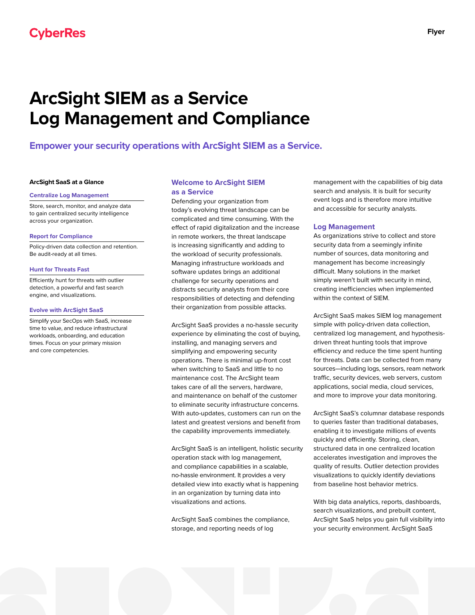# **ArcSight SIEM as a Service Log Management and Compliance**

**Empower your security operations with ArcSight SIEM as a Service.**

## **ArcSight SaaS at a Glance**

#### **Centralize Log Management**

Store, search, monitor, and analyze data to gain centralized security intelligence across your organization.

#### **Report for Compliance**

Policy-driven data collection and retention. Be audit-ready at all times.

## **Hunt for Threats Fast**

Efficiently hunt for threats with outlier detection, a powerful and fast search engine, and visualizations.

## **Evolve with ArcSight SaaS**

Simplify your SecOps with SaaS, increase time to value, and reduce infrastructural workloads, onboarding, and education times. Focus on your primary mission and core competencies.

# **Welcome to ArcSight SIEM as a Service**

Defending your organization from today's evolving threat landscape can be complicated and time consuming. With the effect of rapid digitalization and the increase in remote workers, the threat landscape is increasing significantly and adding to the workload of security professionals. Managing infrastructure workloads and software updates brings an additional challenge for security operations and distracts security analysts from their core responsibilities of detecting and defending their organization from possible attacks.

ArcSight SaaS provides a no-hassle security experience by eliminating the cost of buying, installing, and managing servers and simplifying and empowering security operations. There is minimal up-front cost when switching to SaaS and little to no maintenance cost. The ArcSight team takes care of all the servers, hardware, and maintenance on behalf of the customer to eliminate security infrastructure concerns. With auto-updates, customers can run on the latest and greatest versions and benefit from the capability improvements immediately.

ArcSight SaaS is an intelligent, holistic security operation stack with log management, and compliance capabilities in a scalable, no-hassle environment. It provides a very detailed view into exactly what is happening in an organization by turning data into visualizations and actions.

ArcSight SaaS combines the compliance, storage, and reporting needs of log

management with the capabilities of big data search and analysis. It is built for security event logs and is therefore more intuitive and accessible for security analysts.

## **Log Management**

As organizations strive to collect and store security data from a seemingly infinite number of sources, data monitoring and management has become increasingly difficult. Many solutions in the market simply weren't built with security in mind, creating inefficiencies when implemented within the context of SIEM.

ArcSight SaaS makes SIEM log management simple with policy-driven data collection, centralized log management, and hypothesisdriven threat hunting tools that improve efficiency and reduce the time spent hunting for threats. Data can be collected from many sources—including logs, sensors, ream network traffic, security devices, web servers, custom applications, social media, cloud services, and more to improve your data monitoring.

ArcSight SaaS's columnar database responds to queries faster than traditional databases, enabling it to investigate millions of events quickly and efficiently. Storing, clean, structured data in one centralized location accelerates investigation and improves the quality of results. Outlier detection provides visualizations to quickly identify deviations from baseline host behavior metrics.

With big data analytics, reports, dashboards, search visualizations, and prebuilt content, ArcSight SaaS helps you gain full visibility into your security environment. ArcSight SaaS